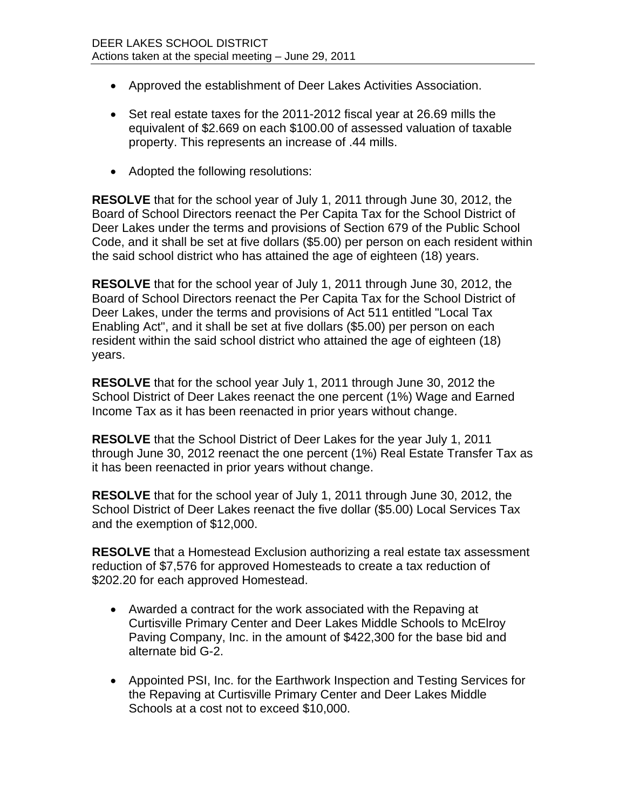- Approved the establishment of Deer Lakes Activities Association.
- Set real estate taxes for the 2011-2012 fiscal year at 26.69 mills the equivalent of \$2.669 on each \$100.00 of assessed valuation of taxable property. This represents an increase of .44 mills.
- Adopted the following resolutions:

**RESOLVE** that for the school year of July 1, 2011 through June 30, 2012, the Board of School Directors reenact the Per Capita Tax for the School District of Deer Lakes under the terms and provisions of Section 679 of the Public School Code, and it shall be set at five dollars (\$5.00) per person on each resident within the said school district who has attained the age of eighteen (18) years.

**RESOLVE** that for the school year of July 1, 2011 through June 30, 2012, the Board of School Directors reenact the Per Capita Tax for the School District of Deer Lakes, under the terms and provisions of Act 511 entitled "Local Tax Enabling Act", and it shall be set at five dollars (\$5.00) per person on each resident within the said school district who attained the age of eighteen (18) years.

**RESOLVE** that for the school year July 1, 2011 through June 30, 2012 the School District of Deer Lakes reenact the one percent (1%) Wage and Earned Income Tax as it has been reenacted in prior years without change.

**RESOLVE** that the School District of Deer Lakes for the year July 1, 2011 through June 30, 2012 reenact the one percent (1%) Real Estate Transfer Tax as it has been reenacted in prior years without change.

**RESOLVE** that for the school year of July 1, 2011 through June 30, 2012, the School District of Deer Lakes reenact the five dollar (\$5.00) Local Services Tax and the exemption of \$12,000.

**RESOLVE** that a Homestead Exclusion authorizing a real estate tax assessment reduction of \$7,576 for approved Homesteads to create a tax reduction of \$202.20 for each approved Homestead.

- Awarded a contract for the work associated with the Repaving at Curtisville Primary Center and Deer Lakes Middle Schools to McElroy Paving Company, Inc. in the amount of \$422,300 for the base bid and alternate bid G-2.
- Appointed PSI, Inc. for the Earthwork Inspection and Testing Services for the Repaving at Curtisville Primary Center and Deer Lakes Middle Schools at a cost not to exceed \$10,000.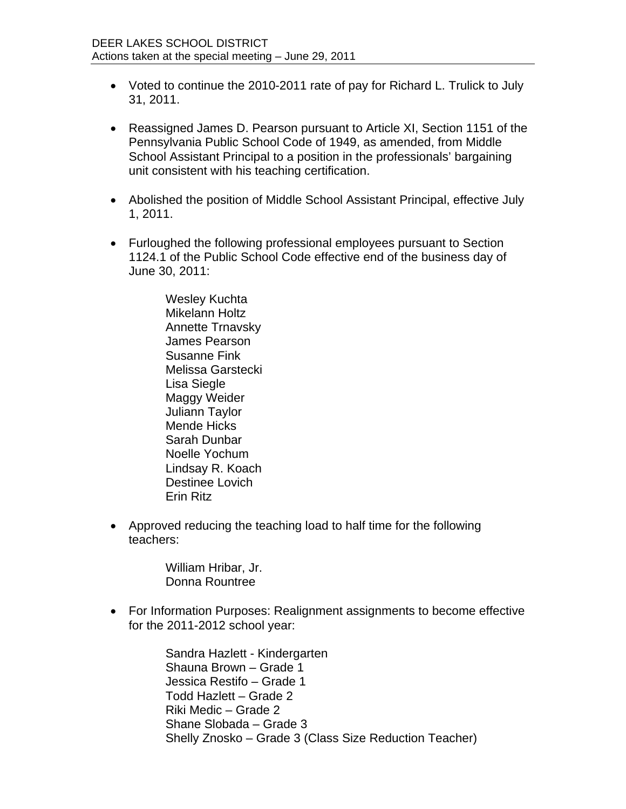- Voted to continue the 2010-2011 rate of pay for Richard L. Trulick to July 31, 2011.
- Reassigned James D. Pearson pursuant to Article XI, Section 1151 of the Pennsylvania Public School Code of 1949, as amended, from Middle School Assistant Principal to a position in the professionals' bargaining unit consistent with his teaching certification.
- Abolished the position of Middle School Assistant Principal, effective July 1, 2011.
- Furloughed the following professional employees pursuant to Section 1124.1 of the Public School Code effective end of the business day of June 30, 2011:

Wesley Kuchta Mikelann Holtz Annette Trnavsky James Pearson Susanne Fink Melissa Garstecki Lisa Siegle Maggy Weider Juliann Taylor Mende Hicks Sarah Dunbar Noelle Yochum Lindsay R. Koach Destinee Lovich Erin Ritz

 Approved reducing the teaching load to half time for the following teachers:

> William Hribar, Jr. Donna Rountree

 For Information Purposes: Realignment assignments to become effective for the 2011-2012 school year:

> Sandra Hazlett - Kindergarten Shauna Brown – Grade 1 Jessica Restifo – Grade 1 Todd Hazlett – Grade 2 Riki Medic – Grade 2 Shane Slobada – Grade 3 Shelly Znosko – Grade 3 (Class Size Reduction Teacher)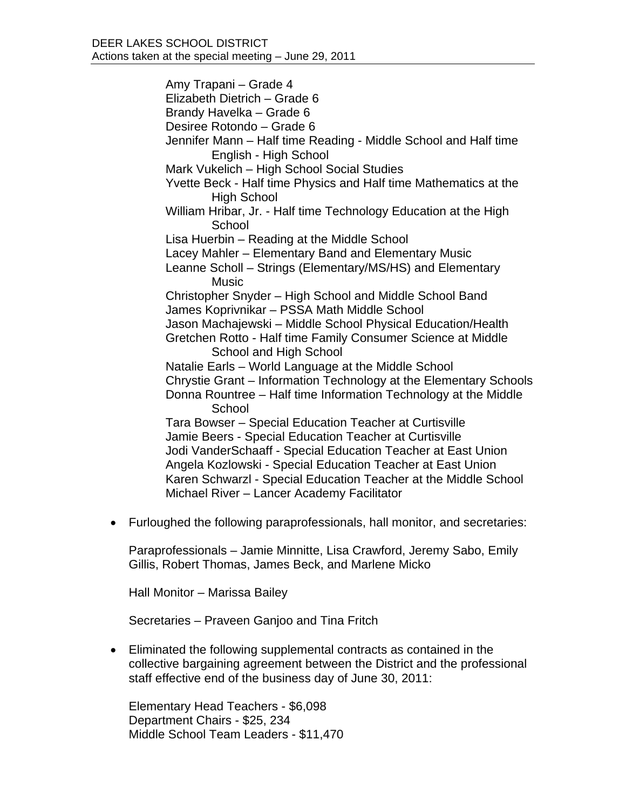Amy Trapani – Grade 4 Elizabeth Dietrich – Grade 6 Brandy Havelka – Grade 6 Desiree Rotondo – Grade 6 Jennifer Mann – Half time Reading - Middle School and Half time English - High School Mark Vukelich – High School Social Studies Yvette Beck - Half time Physics and Half time Mathematics at the High School William Hribar, Jr. - Half time Technology Education at the High **School** Lisa Huerbin – Reading at the Middle School Lacey Mahler – Elementary Band and Elementary Music Leanne Scholl – Strings (Elementary/MS/HS) and Elementary Music Christopher Snyder – High School and Middle School Band James Koprivnikar – PSSA Math Middle School Jason Machajewski – Middle School Physical Education/Health Gretchen Rotto - Half time Family Consumer Science at Middle School and High School Natalie Earls – World Language at the Middle School Chrystie Grant – Information Technology at the Elementary Schools Donna Rountree – Half time Information Technology at the Middle **School** Tara Bowser – Special Education Teacher at Curtisville Jamie Beers - Special Education Teacher at Curtisville Jodi VanderSchaaff - Special Education Teacher at East Union Angela Kozlowski - Special Education Teacher at East Union Karen Schwarzl - Special Education Teacher at the Middle School Michael River – Lancer Academy Facilitator

Furloughed the following paraprofessionals, hall monitor, and secretaries:

Paraprofessionals – Jamie Minnitte, Lisa Crawford, Jeremy Sabo, Emily Gillis, Robert Thomas, James Beck, and Marlene Micko

Hall Monitor – Marissa Bailey

Secretaries – Praveen Ganjoo and Tina Fritch

 Eliminated the following supplemental contracts as contained in the collective bargaining agreement between the District and the professional staff effective end of the business day of June 30, 2011:

Elementary Head Teachers - \$6,098 Department Chairs - \$25, 234 Middle School Team Leaders - \$11,470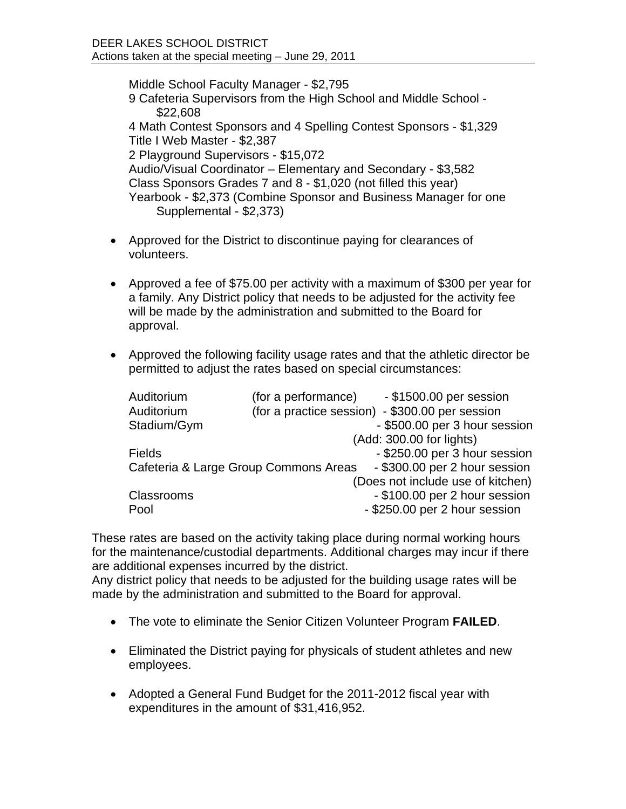Middle School Faculty Manager - \$2,795 9 Cafeteria Supervisors from the High School and Middle School - \$22,608 4 Math Contest Sponsors and 4 Spelling Contest Sponsors - \$1,329 Title I Web Master - \$2,387 2 Playground Supervisors - \$15,072 Audio/Visual Coordinator – Elementary and Secondary - \$3,582 Class Sponsors Grades 7 and 8 - \$1,020 (not filled this year) Yearbook - \$2,373 (Combine Sponsor and Business Manager for one Supplemental - \$2,373)

- Approved for the District to discontinue paying for clearances of volunteers.
- Approved a fee of \$75.00 per activity with a maximum of \$300 per year for a family. Any District policy that needs to be adjusted for the activity fee will be made by the administration and submitted to the Board for approval.
- Approved the following facility usage rates and that the athletic director be permitted to adjust the rates based on special circumstances:

| (for a performance) | - \$1500.00 per session                         |
|---------------------|-------------------------------------------------|
|                     | (for a practice session) - \$300.00 per session |
|                     | - \$500.00 per 3 hour session                   |
|                     | (Add: 300.00 for lights)                        |
|                     | - \$250.00 per 3 hour session                   |
|                     | - \$300.00 per 2 hour session                   |
|                     | (Does not include use of kitchen)               |
|                     | - \$100.00 per 2 hour session                   |
|                     | - \$250.00 per 2 hour session                   |
|                     | Cafeteria & Large Group Commons Areas           |

These rates are based on the activity taking place during normal working hours for the maintenance/custodial departments. Additional charges may incur if there are additional expenses incurred by the district.

Any district policy that needs to be adjusted for the building usage rates will be made by the administration and submitted to the Board for approval.

- The vote to eliminate the Senior Citizen Volunteer Program **FAILED**.
- Eliminated the District paying for physicals of student athletes and new employees.
- Adopted a General Fund Budget for the 2011-2012 fiscal year with expenditures in the amount of \$31,416,952.